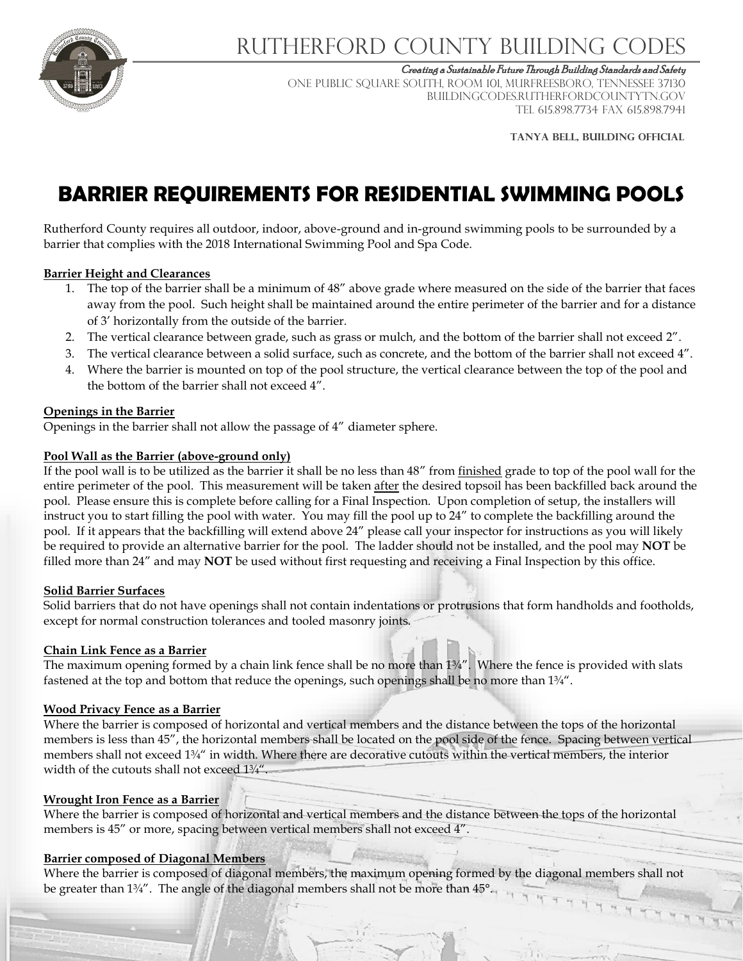

# Rutherford County Building Codes

Creating a Sustainable Future Through Building Standards and Safety

ONE PUBLIC SQUARE SOUTH, ROOM 101, MURFREESBORO, TENNESSEE 37130 BUILDINGCODES.RUTHERFORDCOUNTYTN.GOV TEL 615.898.7734 FAX 615.898.7941

**TANYA belL, BUILDING OFFICIAL**

# **BARRIER REQUIREMENTS FOR RESIDENTIAL SWIMMING POOLS**

Rutherford County requires all outdoor, indoor, above-ground and in-ground swimming pools to be surrounded by a barrier that complies with the 2018 International Swimming Pool and Spa Code.

## **Barrier Height and Clearances**

- 1. The top of the barrier shall be a minimum of 48" above grade where measured on the side of the barrier that faces away from the pool. Such height shall be maintained around the entire perimeter of the barrier and for a distance of 3' horizontally from the outside of the barrier.
- 2. The vertical clearance between grade, such as grass or mulch, and the bottom of the barrier shall not exceed 2".
- 3. The vertical clearance between a solid surface, such as concrete, and the bottom of the barrier shall not exceed 4".
- 4. Where the barrier is mounted on top of the pool structure, the vertical clearance between the top of the pool and the bottom of the barrier shall not exceed 4".

## **Openings in the Barrier**

Openings in the barrier shall not allow the passage of 4" diameter sphere.

## **Pool Wall as the Barrier (above-ground only)**

If the pool wall is to be utilized as the barrier it shall be no less than 48" from finished grade to top of the pool wall for the entire perimeter of the pool. This measurement will be taken after the desired topsoil has been backfilled back around the pool. Please ensure this is complete before calling for a Final Inspection. Upon completion of setup, the installers will instruct you to start filling the pool with water. You may fill the pool up to 24" to complete the backfilling around the pool. If it appears that the backfilling will extend above 24" please call your inspector for instructions as you will likely be required to provide an alternative barrier for the pool. The ladder should not be installed, and the pool may **NOT** be filled more than 24" and may **NOT** be used without first requesting and receiving a Final Inspection by this office.

## **Solid Barrier Surfaces**

Solid barriers that do not have openings shall not contain indentations or protrusions that form handholds and footholds, except for normal construction tolerances and tooled masonry joints.

## **Chain Link Fence as a Barrier**

The maximum opening formed by a chain link fence shall be no more than 1¾". Where the fence is provided with slats fastened at the top and bottom that reduce the openings, such openings shall be no more than 1¾".

## **Wood Privacy Fence as a Barrier**

Where the barrier is composed of horizontal and vertical members and the distance between the tops of the horizontal members is less than 45", the horizontal members shall be located on the pool side of the fence. Spacing between vertical members shall not exceed 1¾" in width. Where there are decorative cutouts within the vertical members, the interior width of the cutouts shall not exceed  $1\frac{3}{4}$ ".

## **Wrought Iron Fence as a Barrier**

Where the barrier is composed of horizontal and vertical members and the distance between the tops of the horizontal members is 45" or more, spacing between vertical members shall not exceed 4".

## **Barrier composed of Diagonal Members**

Where the barrier is composed of diagonal members, the maximum opening formed by the diagonal members shall not be greater than 1¼". The angle of the diagonal members shall not be more than 45°.